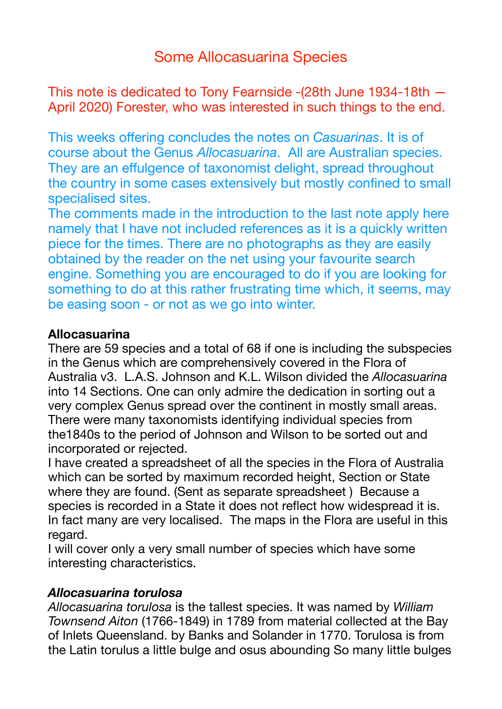# Some Allocasuarina Species

This note is dedicated to Tony Fearnside -(28th June 1934-18th — April 2020) Forester, who was interested in such things to the end.

This weeks offering concludes the notes on *Casuarinas*. It is of course about the Genus *Allocasuarina*. All are Australian species. They are an effulgence of taxonomist delight, spread throughout the country in some cases extensively but mostly confined to small specialised sites.

The comments made in the introduction to the last note apply here namely that I have not included references as it is a quickly written piece for the times. There are no photographs as they are easily obtained by the reader on the net using your favourite search engine. Something you are encouraged to do if you are looking for something to do at this rather frustrating time which, it seems, may be easing soon - or not as we go into winter.

#### **Allocasuarina**

There are 59 species and a total of 68 if one is including the subspecies in the Genus which are comprehensively covered in the Flora of Australia v3. L.A.S. Johnson and K.L. Wilson divided the *Allocasuarina*  into 14 Sections. One can only admire the dedication in sorting out a very complex Genus spread over the continent in mostly small areas. There were many taxonomists identifying individual species from the1840s to the period of Johnson and Wilson to be sorted out and incorporated or rejected.

I have created a spreadsheet of all the species in the Flora of Australia which can be sorted by maximum recorded height, Section or State where they are found. (Sent as separate spreadsheet ) Because a species is recorded in a State it does not reflect how widespread it is. In fact many are very localised. The maps in the Flora are useful in this regard.

I will cover only a very small number of species which have some interesting characteristics.

#### *Allocasuarina torulosa*

*Allocasuarina torulosa* is the tallest species. It was named by *William Townsend Aiton* (1766-1849) in 1789 from material collected at the Bay of Inlets Queensland. by Banks and Solander in 1770. Torulosa is from the Latin torulus a little bulge and osus abounding So many little bulges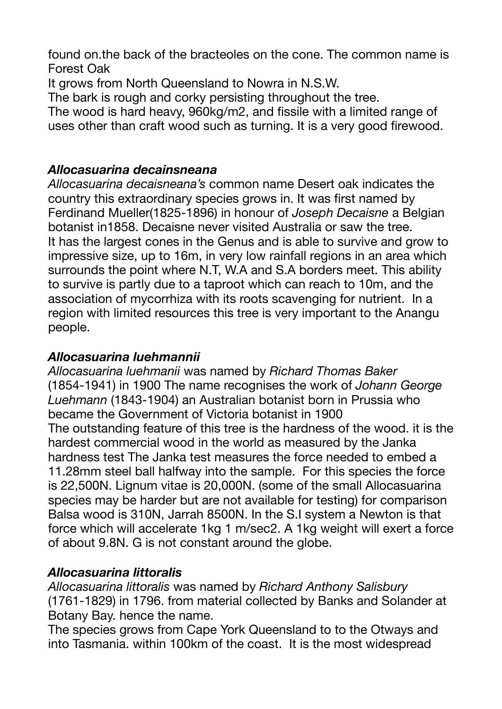found on.the back of the bracteoles on the cone. The common name is Forest Oak

It grows from North Queensland to Nowra in N.S.W.

The bark is rough and corky persisting throughout the tree.

The wood is hard heavy, 960kg/m2, and fissile with a limited range of uses other than craft wood such as turning. It is a very good firewood.

## *Allocasuarina decainsneana*

*Allocasuarina decaisneana's* common name Desert oak indicates the country this extraordinary species grows in. It was first named by Ferdinand Mueller(1825-1896) in honour of *Joseph Decaisne* a Belgian botanist in1858. Decaisne never visited Australia or saw the tree. It has the largest cones in the Genus and is able to survive and grow to impressive size, up to 16m, in very low rainfall regions in an area which surrounds the point where N.T, W.A and S.A borders meet. This ability to survive is partly due to a taproot which can reach to 10m, and the association of mycorrhiza with its roots scavenging for nutrient. In a region with limited resources this tree is very important to the Anangu people.

# *Allocasuarina luehmannii*

*Allocasuarina luehmanii* was named by *Richard Thomas Baker*  (1854-1941) in 1900 The name recognises the work of *Johann George Luehmann* (1843-1904) an Australian botanist born in Prussia who became the Government of Victoria botanist in 1900 The outstanding feature of this tree is the hardness of the wood. it is the hardest commercial wood in the world as measured by the Janka hardness test The Janka test measures the force needed to embed a 11.28mm steel ball halfway into the sample. For this species the force is 22,500N. Lignum vitae is 20,000N. (some of the small Allocasuarina species may be harder but are not available for testing) for comparison Balsa wood is 310N, Jarrah 8500N. In the S.I system a Newton is that force which will accelerate 1kg 1 m/sec2. A 1kg weight will exert a force of about 9.8N. G is not constant around the globe.

# *Allocasuarina littoralis*

*Allocasuarina littoralis* was named by *Richard Anthony Salisbury*  (1761-1829) in 1796. from material collected by Banks and Solander at Botany Bay. hence the name.

The species grows from Cape York Queensland to to the Otways and into Tasmania. within 100km of the coast. It is the most widespread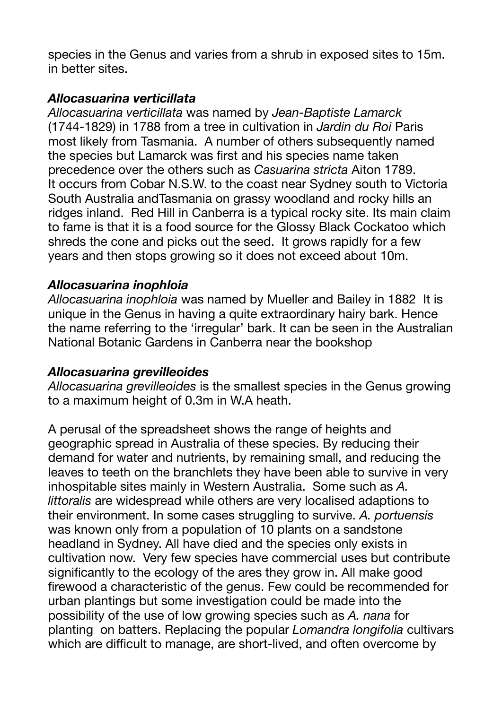species in the Genus and varies from a shrub in exposed sites to 15m. in better sites.

### *Allocasuarina verticillata*

*Allocasuarina verticillata* was named by *Jean-Baptiste Lamarck* (1744-1829) in 1788 from a tree in cultivation in *Jardin du Roi* Paris most likely from Tasmania. A number of others subsequently named the species but Lamarck was first and his species name taken precedence over the others such as *Casuarina stricta* Aiton 1789. It occurs from Cobar N.S.W. to the coast near Sydney south to Victoria South Australia andTasmania on grassy woodland and rocky hills an ridges inland. Red Hill in Canberra is a typical rocky site. Its main claim to fame is that it is a food source for the Glossy Black Cockatoo which shreds the cone and picks out the seed. It grows rapidly for a few years and then stops growing so it does not exceed about 10m.

#### *Allocasuarina inophloia*

*Allocasuarina inophloia* was named by Mueller and Bailey in 1882 It is unique in the Genus in having a quite extraordinary hairy bark. Hence the name referring to the 'irregular' bark. It can be seen in the Australian National Botanic Gardens in Canberra near the bookshop

#### *Allocasuarina grevilleoides*

*Allocasuarina grevilleoides* is the smallest species in the Genus growing to a maximum height of 0.3m in W.A heath.

A perusal of the spreadsheet shows the range of heights and geographic spread in Australia of these species. By reducing their demand for water and nutrients, by remaining small, and reducing the leaves to teeth on the branchlets they have been able to survive in very inhospitable sites mainly in Western Australia. Some such as *A. littoralis* are widespread while others are very localised adaptions to their environment. In some cases struggling to survive. *A. portuensis*  was known only from a population of 10 plants on a sandstone headland in Sydney. All have died and the species only exists in cultivation now. Very few species have commercial uses but contribute significantly to the ecology of the ares they grow in. All make good firewood a characteristic of the genus. Few could be recommended for urban plantings but some investigation could be made into the possibility of the use of low growing species such as *A. nana* for planting on batters. Replacing the popular *Lomandra longifolia* cultivars which are difficult to manage, are short-lived, and often overcome by